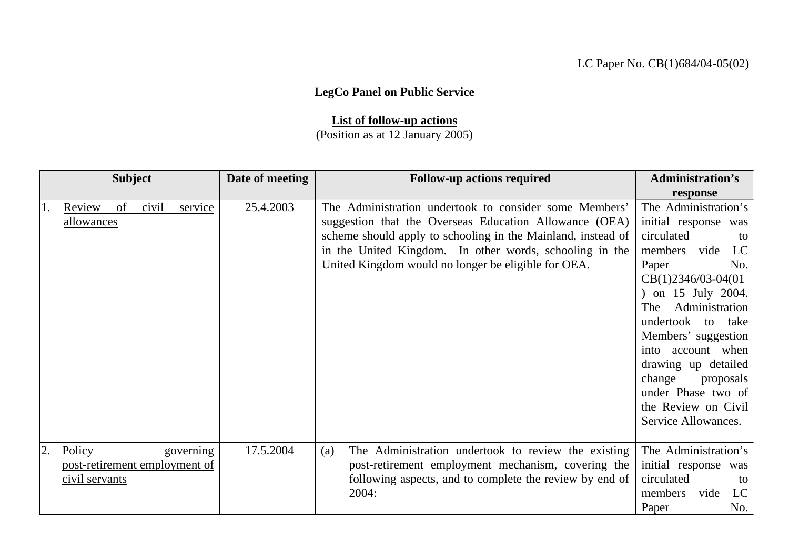## LC Paper No. CB(1)684/04-05(02)

## **LegCo Panel on Public Service**

## **List of follow-up actions**

## (Position as at 12 January 2005)

| <b>Subject</b> |                |    |       |                               | Date of meeting                                         | <b>Follow-up actions required</b>                            | <b>Administration's</b> |
|----------------|----------------|----|-------|-------------------------------|---------------------------------------------------------|--------------------------------------------------------------|-------------------------|
|                |                |    |       |                               |                                                         |                                                              | response                |
| 1.             | Review         | of | civil | service                       | 25.4.2003                                               | The Administration undertook to consider some Members'       | The Administration's    |
|                | allowances     |    |       |                               |                                                         | suggestion that the Overseas Education Allowance (OEA)       | initial response was    |
|                |                |    |       |                               |                                                         | scheme should apply to schooling in the Mainland, instead of | circulated<br>to        |
|                |                |    |       |                               |                                                         | in the United Kingdom. In other words, schooling in the      | members vide<br>LC      |
|                |                |    |       |                               |                                                         | United Kingdom would no longer be eligible for OEA.          | Paper<br>No.            |
|                |                |    |       |                               |                                                         |                                                              | $CB(1)2346/03-04(01)$   |
|                |                |    |       |                               |                                                         |                                                              | on 15 July 2004.        |
|                |                |    |       |                               |                                                         |                                                              | Administration<br>The   |
|                |                |    |       |                               |                                                         |                                                              | undertook to take       |
|                |                |    |       |                               |                                                         |                                                              | Members' suggestion     |
|                |                |    |       |                               |                                                         |                                                              | into account when       |
|                |                |    |       |                               |                                                         |                                                              | drawing up detailed     |
|                |                |    |       |                               |                                                         |                                                              | change<br>proposals     |
|                |                |    |       |                               |                                                         |                                                              | under Phase two of      |
|                |                |    |       |                               |                                                         |                                                              | the Review on Civil     |
|                |                |    |       |                               |                                                         |                                                              | Service Allowances.     |
|                |                |    |       |                               |                                                         |                                                              |                         |
| 2.             | Policy         |    |       | governing                     | 17.5.2004                                               | The Administration undertook to review the existing<br>(a)   | The Administration's    |
|                |                |    |       | post-retirement employment of |                                                         | post-retirement employment mechanism, covering the           | initial response was    |
|                | civil servants |    |       |                               | following aspects, and to complete the review by end of | circulated<br>to                                             |                         |
|                |                |    |       |                               |                                                         | 2004:                                                        | members<br>LC<br>vide   |
|                |                |    |       |                               |                                                         |                                                              | No.<br>Paper            |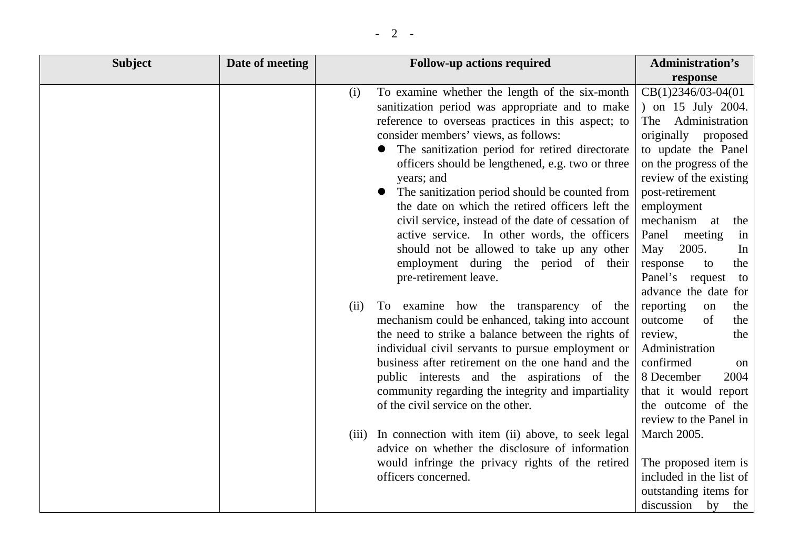| <b>Subject</b> | Date of meeting |             | <b>Follow-up actions required</b>                                                                                                                                                                                                                                                                                                                                                                                                                                                                                                                                                                                                                                                                                                                                                                                                                                                                                                                                                                                                                                                                                                                                                                                                                   | <b>Administration's</b>                                                                                                                                                                                                                                                                                                                                                                                                                                                                                                                                                                                                                        |
|----------------|-----------------|-------------|-----------------------------------------------------------------------------------------------------------------------------------------------------------------------------------------------------------------------------------------------------------------------------------------------------------------------------------------------------------------------------------------------------------------------------------------------------------------------------------------------------------------------------------------------------------------------------------------------------------------------------------------------------------------------------------------------------------------------------------------------------------------------------------------------------------------------------------------------------------------------------------------------------------------------------------------------------------------------------------------------------------------------------------------------------------------------------------------------------------------------------------------------------------------------------------------------------------------------------------------------------|------------------------------------------------------------------------------------------------------------------------------------------------------------------------------------------------------------------------------------------------------------------------------------------------------------------------------------------------------------------------------------------------------------------------------------------------------------------------------------------------------------------------------------------------------------------------------------------------------------------------------------------------|
|                |                 |             |                                                                                                                                                                                                                                                                                                                                                                                                                                                                                                                                                                                                                                                                                                                                                                                                                                                                                                                                                                                                                                                                                                                                                                                                                                                     | response                                                                                                                                                                                                                                                                                                                                                                                                                                                                                                                                                                                                                                       |
|                |                 | (i)<br>(ii) | To examine whether the length of the six-month<br>sanitization period was appropriate and to make<br>reference to overseas practices in this aspect; to<br>consider members' views, as follows:<br>The sanitization period for retired directorate<br>officers should be lengthened, e.g. two or three<br>years; and<br>• The sanitization period should be counted from<br>the date on which the retired officers left the<br>civil service, instead of the date of cessation of<br>active service. In other words, the officers<br>should not be allowed to take up any other<br>employment during the period of their<br>pre-retirement leave.<br>To examine how the transparency of the<br>mechanism could be enhanced, taking into account<br>the need to strike a balance between the rights of<br>individual civil servants to pursue employment or<br>business after retirement on the one hand and the<br>public interests and the aspirations of the<br>community regarding the integrity and impartiality<br>of the civil service on the other.<br>(iii) In connection with item (ii) above, to seek legal<br>advice on whether the disclosure of information<br>would infringe the privacy rights of the retired<br>officers concerned. | CB(1)2346/03-04(01<br>) on 15 July 2004.<br>Administration<br>The<br>originally<br>proposed<br>to update the Panel<br>on the progress of the<br>review of the existing<br>post-retirement<br>employment<br>mechanism<br>at<br>the<br>Panel<br>meeting<br>in<br>2005.<br>May<br>In<br>the<br>response<br>to<br>Panel's<br>request<br>to<br>advance the date for<br>reporting<br>the<br>on<br>of<br>outcome<br>the<br>review,<br>the<br>Administration<br>confirmed<br>on<br>8 December<br>2004<br>that it would report<br>the outcome of the<br>review to the Panel in<br><b>March 2005.</b><br>The proposed item is<br>included in the list of |
|                |                 |             |                                                                                                                                                                                                                                                                                                                                                                                                                                                                                                                                                                                                                                                                                                                                                                                                                                                                                                                                                                                                                                                                                                                                                                                                                                                     | outstanding items for<br>discussion by the                                                                                                                                                                                                                                                                                                                                                                                                                                                                                                                                                                                                     |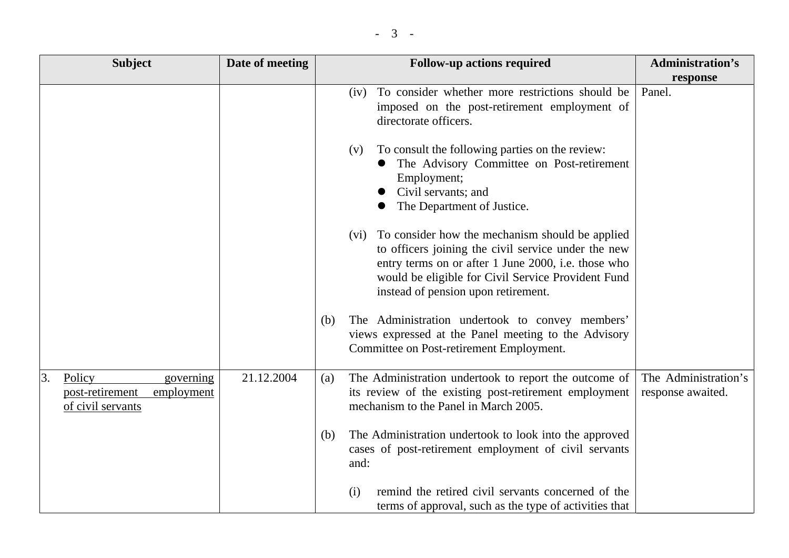|  | - |  |
|--|---|--|
|--|---|--|

| <b>Subject</b>                                                                  | Date of meeting | <b>Follow-up actions required</b>                                                                                                                                                                                                                               | <b>Administration's</b>                   |
|---------------------------------------------------------------------------------|-----------------|-----------------------------------------------------------------------------------------------------------------------------------------------------------------------------------------------------------------------------------------------------------------|-------------------------------------------|
|                                                                                 |                 |                                                                                                                                                                                                                                                                 | response                                  |
|                                                                                 |                 | (iv) To consider whether more restrictions should be<br>imposed on the post-retirement employment of<br>directorate officers.                                                                                                                                   | Panel.                                    |
|                                                                                 |                 | To consult the following parties on the review:<br>(V)<br>The Advisory Committee on Post-retirement<br>Employment;<br>Civil servants; and<br>The Department of Justice.                                                                                         |                                           |
|                                                                                 |                 | (vi) To consider how the mechanism should be applied<br>to officers joining the civil service under the new<br>entry terms on or after 1 June 2000, i.e. those who<br>would be eligible for Civil Service Provident Fund<br>instead of pension upon retirement. |                                           |
|                                                                                 |                 | The Administration undertook to convey members'<br>(b)<br>views expressed at the Panel meeting to the Advisory<br>Committee on Post-retirement Employment.                                                                                                      |                                           |
| Policy<br>3.<br>governing<br>employment<br>post-retirement<br>of civil servants | 21.12.2004      | The Administration undertook to report the outcome of<br>(a)<br>its review of the existing post-retirement employment<br>mechanism to the Panel in March 2005.                                                                                                  | The Administration's<br>response awaited. |
|                                                                                 |                 | The Administration undertook to look into the approved<br>(b)<br>cases of post-retirement employment of civil servants<br>and:                                                                                                                                  |                                           |
|                                                                                 |                 | remind the retired civil servants concerned of the<br>(i)<br>terms of approval, such as the type of activities that                                                                                                                                             |                                           |